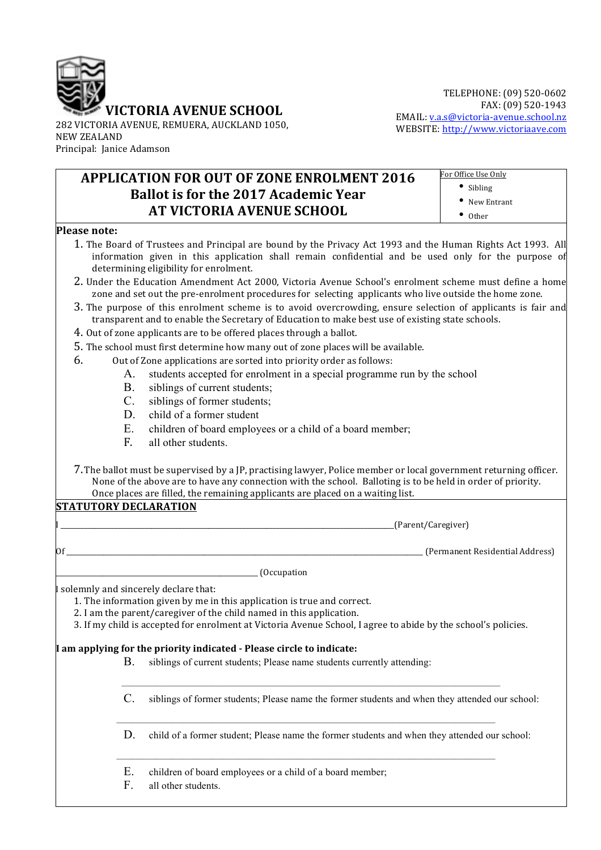

282 VICTORIA AVENUE, REMUERA, AUCKLAND 1050, NEW ZEALAND Principal: Janice Adamson

## **APPLICATION FOR OUT OF ZONE ENROLMENT 2016 Ballot is for the 2017 Academic Year AT VICTORIA AVENUE SCHOOL**

• Sibling • New Entrant • Other

For Office Use Only

## **Please note:**

- 1. The Board of Trustees and Principal are bound by the Privacy Act 1993 and the Human Rights Act 1993. All information given in this application shall remain confidential and be used only for the purpose of determining eligibility for enrolment.
- 2. Under the Education Amendment Act 2000, Victoria Avenue School's enrolment scheme must define a home zone and set out the pre-enrolment procedures for selecting applicants who live outside the home zone.
- 3. The purpose of this enrolment scheme is to avoid overcrowding, ensure selection of applicants is fair and transparent and to enable the Secretary of Education to make best use of existing state schools.
- 4. Out of zone applicants are to be offered places through a ballot.
- 5. The school must first determine how many out of zone places will be available.
- 6. Out of Zone applications are sorted into priority order as follows:
	- A. students accepted for enrolment in a special programme run by the school
	- B. siblings of current students;
	- C. siblings of former students;
	- D. child of a former student
	- E. children of board employees or a child of a board member;
	- F. all other students.
- 7. The ballot must be supervised by a JP, practising lawyer, Police member or local government returning officer. None of the above are to have any connection with the school. Balloting is to be held in order of priority. Once places are filled, the remaining applicants are placed on a waiting list.

## **STATUTORY DECLARATION**

I \_\_\_\_\_\_\_\_\_\_\_\_\_\_\_\_\_\_\_\_\_\_\_\_\_\_\_\_\_\_\_\_\_\_\_\_\_\_\_\_\_\_\_\_\_\_\_\_\_\_\_\_\_\_\_\_\_\_\_\_\_\_\_\_\_\_\_\_\_\_\_\_\_\_\_\_\_\_\_\_\_\_\_\_\_\_\_\_\_\_\_\_\_\_\_\_\_\_\_(Parent/Caregiver)

 $\overline{\text{OR}}$   $\overline{\text{OR}}$   $\overline{\text{OR}}$   $\overline{\text{OR}}$   $\overline{\text{OR}}$   $\overline{\text{OR}}$   $\overline{\text{OR}}$   $\overline{\text{OR}}$   $\overline{\text{OR}}$   $\overline{\text{OR}}$   $\overline{\text{OR}}$   $\overline{\text{OR}}$   $\overline{\text{OR}}$   $\overline{\text{OR}}$   $\overline{\text{OR}}$   $\overline{\text{OR}}$   $\overline{\text{OR}}$   $\overline{\text{OR}}$   $\overline{\text{OR}}$   $\overline{\text{OR}}$ 

 $_$  (Occupation

I solemnly and sincerely declare that:

1. The information given by me in this application is true and correct.

- 2. I am the parent/caregiver of the child named in this application.
- 3. If my child is accepted for enrolment at Victoria Avenue School, I agree to abide by the school's policies.

## **I am applying for the priority indicated - Please circle to indicate:**

B. siblings of current students; Please name students currently attending:

–––––––––––––––––––––––––––––––––––––––––––––––––––––––––––––––––––––––––––

–––––––––––––––––––––––––––––––––––––––––––––––––––––––––––––––––––––––––––

–––––––––––––––––––––––––––––––––––––––––––––––––––––––––––––––––––––––––––

- C. siblings of former students; Please name the former students and when they attended our school:
- D. child of a former student; Please name the former students and when they attended our school:
- E. children of board employees or a child of a board member;
- F. all other students.